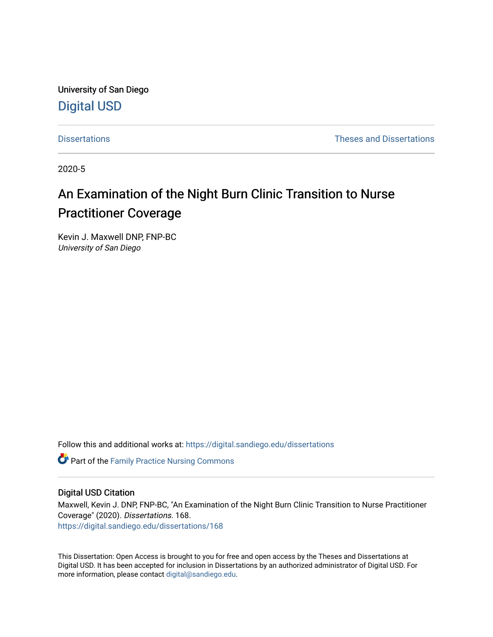University of San Diego [Digital USD](https://digital.sandiego.edu/)

[Dissertations](https://digital.sandiego.edu/dissertations) [Theses and Dissertations](https://digital.sandiego.edu/etd) 

2020-5

# An Examination of the Night Burn Clinic Transition to Nurse Practitioner Coverage

Kevin J. Maxwell DNP, FNP-BC University of San Diego

Follow this and additional works at: [https://digital.sandiego.edu/dissertations](https://digital.sandiego.edu/dissertations?utm_source=digital.sandiego.edu%2Fdissertations%2F168&utm_medium=PDF&utm_campaign=PDFCoverPages)

**Part of the Family Practice Nursing Commons** 

### Digital USD Citation

Maxwell, Kevin J. DNP, FNP-BC, "An Examination of the Night Burn Clinic Transition to Nurse Practitioner Coverage" (2020). Dissertations. 168. [https://digital.sandiego.edu/dissertations/168](https://digital.sandiego.edu/dissertations/168?utm_source=digital.sandiego.edu%2Fdissertations%2F168&utm_medium=PDF&utm_campaign=PDFCoverPages)

This Dissertation: Open Access is brought to you for free and open access by the Theses and Dissertations at Digital USD. It has been accepted for inclusion in Dissertations by an authorized administrator of Digital USD. For more information, please contact [digital@sandiego.edu.](mailto:digital@sandiego.edu)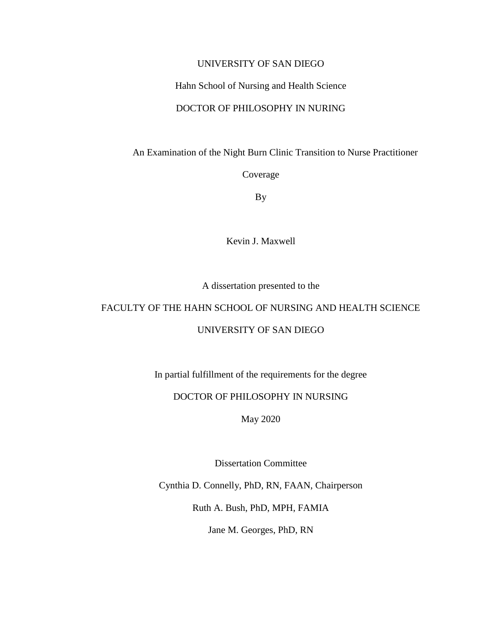### UNIVERSITY OF SAN DIEGO

### Hahn School of Nursing and Health Science

### DOCTOR OF PHILOSOPHY IN NURING

An Examination of the Night Burn Clinic Transition to Nurse Practitioner

Coverage

By

Kevin J. Maxwell

A dissertation presented to the

# FACULTY OF THE HAHN SCHOOL OF NURSING AND HEALTH SCIENCE

### UNIVERSITY OF SAN DIEGO

In partial fulfillment of the requirements for the degree

# DOCTOR OF PHILOSOPHY IN NURSING

May 2020

Dissertation Committee

Cynthia D. Connelly, PhD, RN, FAAN, Chairperson

Ruth A. Bush, PhD, MPH, FAMIA

Jane M. Georges, PhD, RN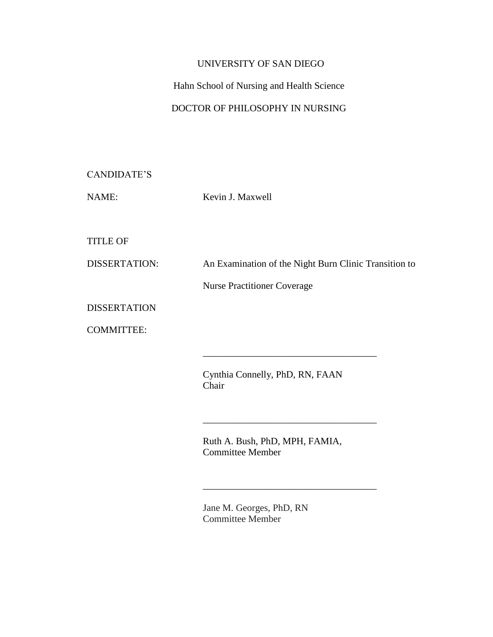# UNIVERSITY OF SAN DIEGO

# Hahn School of Nursing and Health Science

# DOCTOR OF PHILOSOPHY IN NURSING

| CANDIDATE'S |
|-------------|
|-------------|

NAME: Kevin J. Maxwell

TITLE OF

DISSERTATION: An Examination of the Night Burn Clinic Transition to

Nurse Practitioner Coverage

**DISSERTATION** 

COMMITTEE:

Cynthia Connelly, PhD, RN, FAAN Chair

\_\_\_\_\_\_\_\_\_\_\_\_\_\_\_\_\_\_\_\_\_\_\_\_\_\_\_\_\_\_\_\_\_\_\_\_

\_\_\_\_\_\_\_\_\_\_\_\_\_\_\_\_\_\_\_\_\_\_\_\_\_\_\_\_\_\_\_\_\_\_\_\_

\_\_\_\_\_\_\_\_\_\_\_\_\_\_\_\_\_\_\_\_\_\_\_\_\_\_\_\_\_\_\_\_\_\_\_\_

Ruth A. Bush, PhD, MPH, FAMIA, Committee Member

Jane M. Georges, PhD, RN Committee Member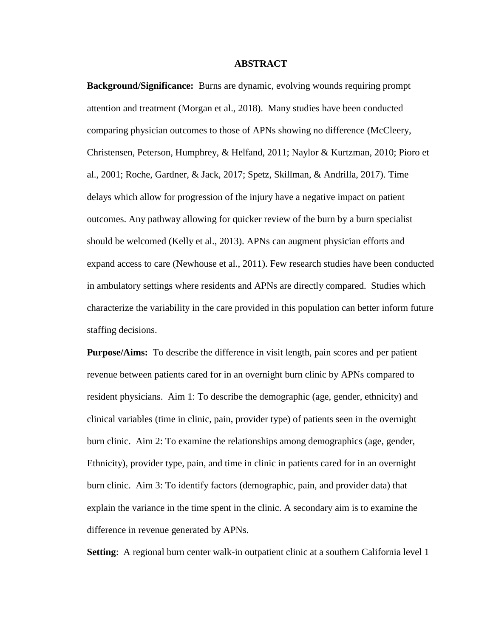#### **ABSTRACT**

**Background/Significance:** Burns are dynamic, evolving wounds requiring prompt attention and treatment (Morgan et al., 2018). Many studies have been conducted comparing physician outcomes to those of APNs showing no difference (McCleery, Christensen, Peterson, Humphrey, & Helfand, 2011; Naylor & Kurtzman, 2010; Pioro et al., 2001; Roche, Gardner, & Jack, 2017; Spetz, Skillman, & Andrilla, 2017). Time delays which allow for progression of the injury have a negative impact on patient outcomes. Any pathway allowing for quicker review of the burn by a burn specialist should be welcomed (Kelly et al., 2013). APNs can augment physician efforts and expand access to care (Newhouse et al., 2011). Few research studies have been conducted in ambulatory settings where residents and APNs are directly compared. Studies which characterize the variability in the care provided in this population can better inform future staffing decisions.

**Purpose/Aims:** To describe the difference in visit length, pain scores and per patient revenue between patients cared for in an overnight burn clinic by APNs compared to resident physicians. Aim 1: To describe the demographic (age, gender, ethnicity) and clinical variables (time in clinic, pain, provider type) of patients seen in the overnight burn clinic. Aim 2: To examine the relationships among demographics (age, gender, Ethnicity), provider type, pain, and time in clinic in patients cared for in an overnight burn clinic. Aim 3: To identify factors (demographic, pain, and provider data) that explain the variance in the time spent in the clinic. A secondary aim is to examine the difference in revenue generated by APNs.

**Setting**: A regional burn center walk-in outpatient clinic at a southern California level 1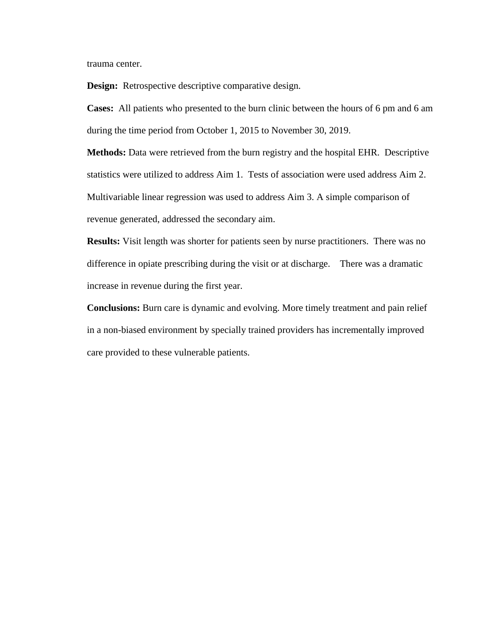trauma center.

**Design:** Retrospective descriptive comparative design.

**Cases:** All patients who presented to the burn clinic between the hours of 6 pm and 6 am during the time period from October 1, 2015 to November 30, 2019.

**Methods:** Data were retrieved from the burn registry and the hospital EHR. Descriptive statistics were utilized to address Aim 1. Tests of association were used address Aim 2. Multivariable linear regression was used to address Aim 3. A simple comparison of revenue generated, addressed the secondary aim.

**Results:** Visit length was shorter for patients seen by nurse practitioners. There was no difference in opiate prescribing during the visit or at discharge. There was a dramatic increase in revenue during the first year.

**Conclusions:** Burn care is dynamic and evolving. More timely treatment and pain relief in a non-biased environment by specially trained providers has incrementally improved care provided to these vulnerable patients.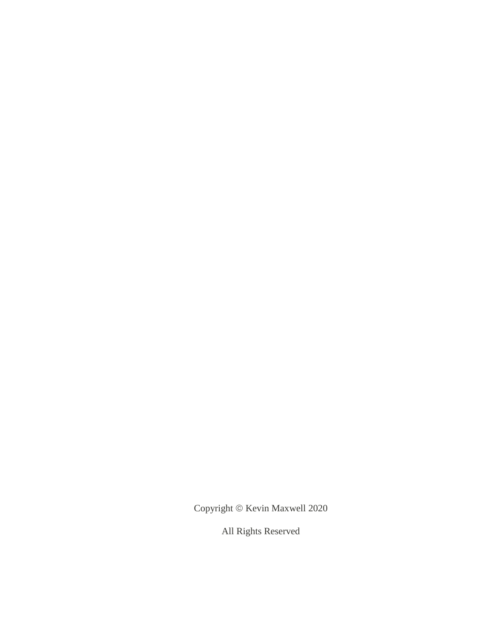Copyright  $\circ$  Kevin Maxwell 2020

All Rights Reserved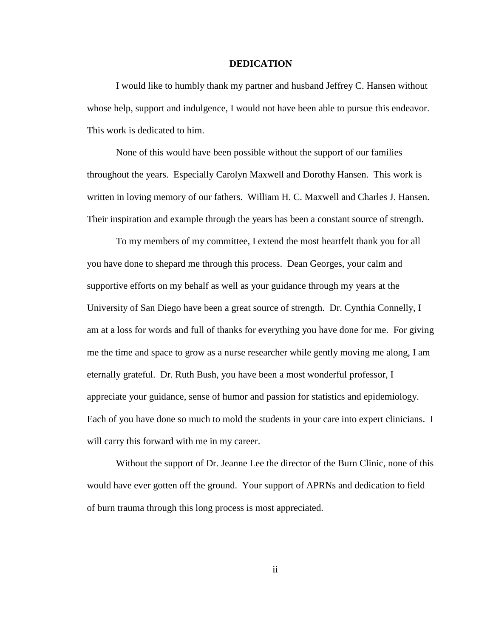#### **DEDICATION**

I would like to humbly thank my partner and husband Jeffrey C. Hansen without whose help, support and indulgence, I would not have been able to pursue this endeavor. This work is dedicated to him.

None of this would have been possible without the support of our families throughout the years. Especially Carolyn Maxwell and Dorothy Hansen. This work is written in loving memory of our fathers. William H. C. Maxwell and Charles J. Hansen. Their inspiration and example through the years has been a constant source of strength.

To my members of my committee, I extend the most heartfelt thank you for all you have done to shepard me through this process. Dean Georges, your calm and supportive efforts on my behalf as well as your guidance through my years at the University of San Diego have been a great source of strength. Dr. Cynthia Connelly, I am at a loss for words and full of thanks for everything you have done for me. For giving me the time and space to grow as a nurse researcher while gently moving me along, I am eternally grateful. Dr. Ruth Bush, you have been a most wonderful professor, I appreciate your guidance, sense of humor and passion for statistics and epidemiology. Each of you have done so much to mold the students in your care into expert clinicians. I will carry this forward with me in my career.

Without the support of Dr. Jeanne Lee the director of the Burn Clinic, none of this would have ever gotten off the ground. Your support of APRNs and dedication to field of burn trauma through this long process is most appreciated.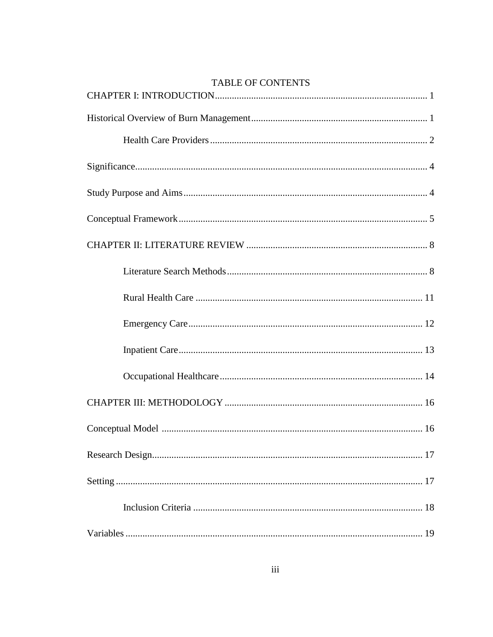| TABLE OF CONTENTS |
|-------------------|
|                   |
|                   |
|                   |
|                   |
|                   |
|                   |
|                   |
|                   |
|                   |
|                   |
|                   |
|                   |
|                   |
|                   |
|                   |
|                   |
|                   |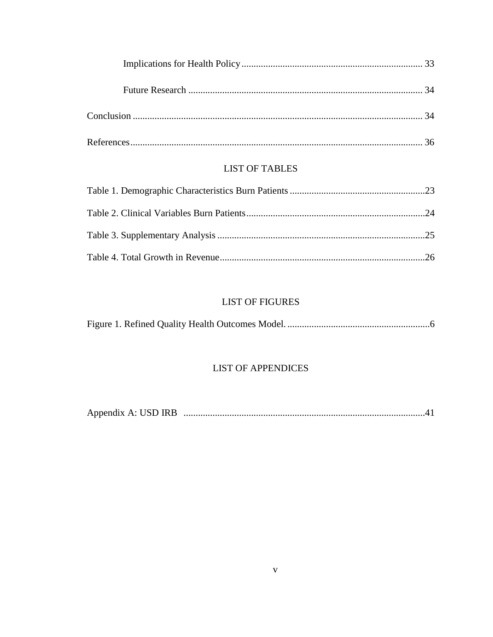# **LIST OF TABLES**

# **LIST OF FIGURES**

# **LIST OF APPENDICES**

| Appendix A: USD IRB |  |  |  |
|---------------------|--|--|--|
|---------------------|--|--|--|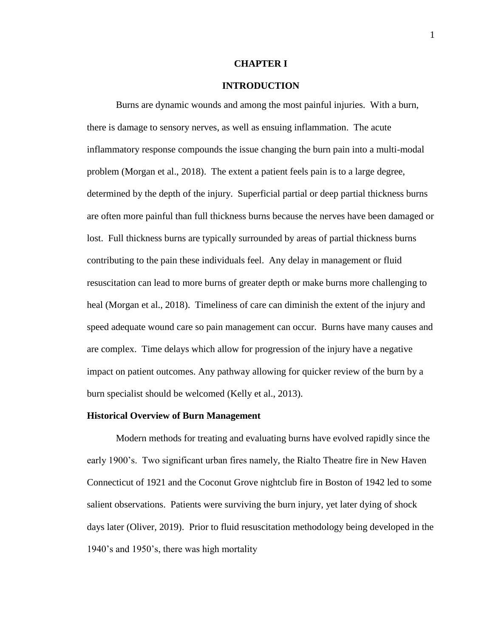#### **CHAPTER I**

# **INTRODUCTION**

Burns are dynamic wounds and among the most painful injuries. With a burn, there is damage to sensory nerves, as well as ensuing inflammation. The acute inflammatory response compounds the issue changing the burn pain into a multi-modal problem (Morgan et al., 2018). The extent a patient feels pain is to a large degree, determined by the depth of the injury. Superficial partial or deep partial thickness burns are often more painful than full thickness burns because the nerves have been damaged or lost. Full thickness burns are typically surrounded by areas of partial thickness burns contributing to the pain these individuals feel. Any delay in management or fluid resuscitation can lead to more burns of greater depth or make burns more challenging to heal (Morgan et al., 2018). Timeliness of care can diminish the extent of the injury and speed adequate wound care so pain management can occur. Burns have many causes and are complex. Time delays which allow for progression of the injury have a negative impact on patient outcomes. Any pathway allowing for quicker review of the burn by a burn specialist should be welcomed (Kelly et al., 2013).

#### **Historical Overview of Burn Management**

Modern methods for treating and evaluating burns have evolved rapidly since the early 1900's. Two significant urban fires namely, the Rialto Theatre fire in New Haven Connecticut of 1921 and the Coconut Grove nightclub fire in Boston of 1942 led to some salient observations. Patients were surviving the burn injury, yet later dying of shock days later (Oliver, 2019). Prior to fluid resuscitation methodology being developed in the 1940's and 1950's, there was high mortality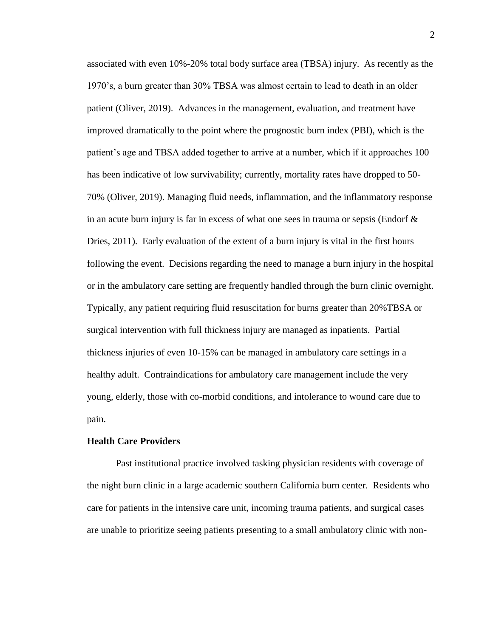associated with even 10%-20% total body surface area (TBSA) injury. As recently as the 1970's, a burn greater than 30% TBSA was almost certain to lead to death in an older patient (Oliver, 2019). Advances in the management, evaluation, and treatment have improved dramatically to the point where the prognostic burn index (PBI), which is the patient's age and TBSA added together to arrive at a number, which if it approaches 100 has been indicative of low survivability; currently, mortality rates have dropped to 50- 70% (Oliver, 2019). Managing fluid needs, inflammation, and the inflammatory response in an acute burn injury is far in excess of what one sees in trauma or sepsis (Endorf  $\&$ Dries, 2011). Early evaluation of the extent of a burn injury is vital in the first hours following the event. Decisions regarding the need to manage a burn injury in the hospital or in the ambulatory care setting are frequently handled through the burn clinic overnight. Typically, any patient requiring fluid resuscitation for burns greater than 20%TBSA or surgical intervention with full thickness injury are managed as inpatients. Partial thickness injuries of even 10-15% can be managed in ambulatory care settings in a healthy adult. Contraindications for ambulatory care management include the very young, elderly, those with co-morbid conditions, and intolerance to wound care due to pain.

#### **Health Care Providers**

Past institutional practice involved tasking physician residents with coverage of the night burn clinic in a large academic southern California burn center. Residents who care for patients in the intensive care unit, incoming trauma patients, and surgical cases are unable to prioritize seeing patients presenting to a small ambulatory clinic with non-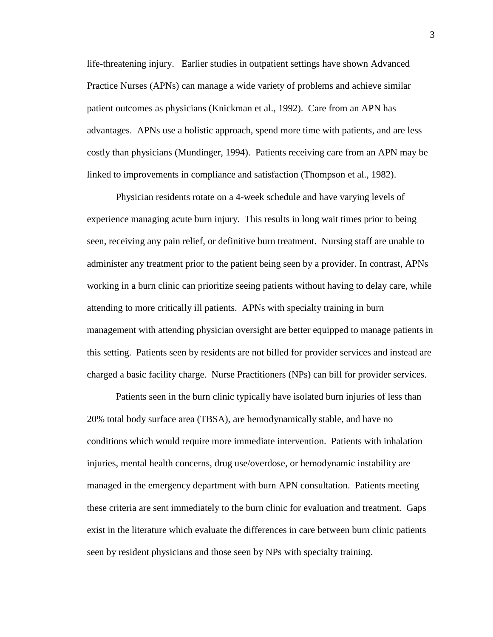life-threatening injury. Earlier studies in outpatient settings have shown Advanced Practice Nurses (APNs) can manage a wide variety of problems and achieve similar patient outcomes as physicians (Knickman et al., 1992). Care from an APN has advantages. APNs use a holistic approach, spend more time with patients, and are less costly than physicians (Mundinger, 1994). Patients receiving care from an APN may be linked to improvements in compliance and satisfaction (Thompson et al., 1982).

Physician residents rotate on a 4-week schedule and have varying levels of experience managing acute burn injury. This results in long wait times prior to being seen, receiving any pain relief, or definitive burn treatment. Nursing staff are unable to administer any treatment prior to the patient being seen by a provider. In contrast, APNs working in a burn clinic can prioritize seeing patients without having to delay care, while attending to more critically ill patients. APNs with specialty training in burn management with attending physician oversight are better equipped to manage patients in this setting. Patients seen by residents are not billed for provider services and instead are charged a basic facility charge. Nurse Practitioners (NPs) can bill for provider services.

Patients seen in the burn clinic typically have isolated burn injuries of less than 20% total body surface area (TBSA), are hemodynamically stable, and have no conditions which would require more immediate intervention. Patients with inhalation injuries, mental health concerns, drug use/overdose, or hemodynamic instability are managed in the emergency department with burn APN consultation. Patients meeting these criteria are sent immediately to the burn clinic for evaluation and treatment. Gaps exist in the literature which evaluate the differences in care between burn clinic patients seen by resident physicians and those seen by NPs with specialty training.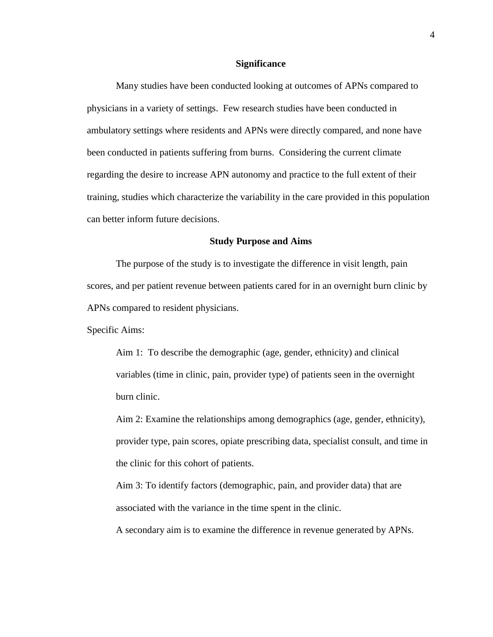#### **Significance**

Many studies have been conducted looking at outcomes of APNs compared to physicians in a variety of settings. Few research studies have been conducted in ambulatory settings where residents and APNs were directly compared, and none have been conducted in patients suffering from burns. Considering the current climate regarding the desire to increase APN autonomy and practice to the full extent of their training, studies which characterize the variability in the care provided in this population can better inform future decisions.

#### **Study Purpose and Aims**

The purpose of the study is to investigate the difference in visit length, pain scores, and per patient revenue between patients cared for in an overnight burn clinic by APNs compared to resident physicians.

Specific Aims:

Aim 1: To describe the demographic (age, gender, ethnicity) and clinical variables (time in clinic, pain, provider type) of patients seen in the overnight burn clinic.

Aim 2: Examine the relationships among demographics (age, gender, ethnicity), provider type, pain scores, opiate prescribing data, specialist consult, and time in the clinic for this cohort of patients.

Aim 3: To identify factors (demographic, pain, and provider data) that are associated with the variance in the time spent in the clinic.

A secondary aim is to examine the difference in revenue generated by APNs.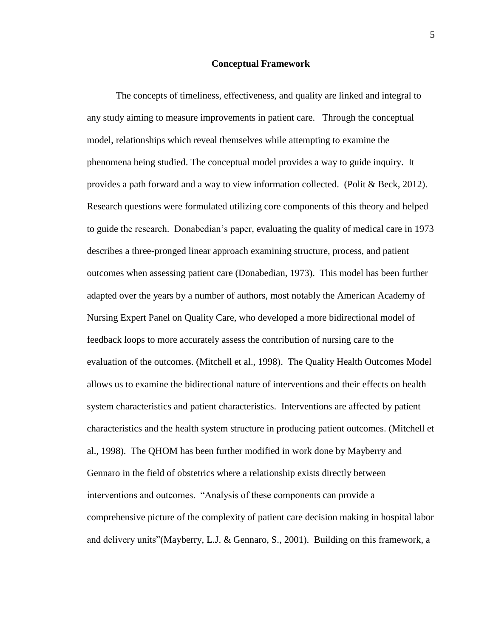#### **Conceptual Framework**

The concepts of timeliness, effectiveness, and quality are linked and integral to any study aiming to measure improvements in patient care. Through the conceptual model, relationships which reveal themselves while attempting to examine the phenomena being studied. The conceptual model provides a way to guide inquiry. It provides a path forward and a way to view information collected. (Polit & Beck, 2012). Research questions were formulated utilizing core components of this theory and helped to guide the research. Donabedian's paper, evaluating the quality of medical care in 1973 describes a three-pronged linear approach examining structure, process, and patient outcomes when assessing patient care (Donabedian, 1973). This model has been further adapted over the years by a number of authors, most notably the American Academy of Nursing Expert Panel on Quality Care, who developed a more bidirectional model of feedback loops to more accurately assess the contribution of nursing care to the evaluation of the outcomes. (Mitchell et al., 1998). The Quality Health Outcomes Model allows us to examine the bidirectional nature of interventions and their effects on health system characteristics and patient characteristics. Interventions are affected by patient characteristics and the health system structure in producing patient outcomes. (Mitchell et al., 1998). The QHOM has been further modified in work done by Mayberry and Gennaro in the field of obstetrics where a relationship exists directly between interventions and outcomes. "Analysis of these components can provide a comprehensive picture of the complexity of patient care decision making in hospital labor and delivery units"(Mayberry, L.J. & Gennaro, S., 2001). Building on this framework, a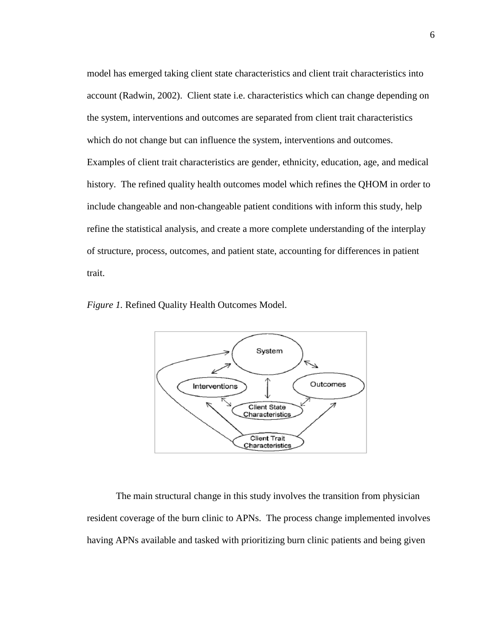model has emerged taking client state characteristics and client trait characteristics into account (Radwin, 2002). Client state i.e. characteristics which can change depending on the system, interventions and outcomes are separated from client trait characteristics which do not change but can influence the system, interventions and outcomes. Examples of client trait characteristics are gender, ethnicity, education, age, and medical history. The refined quality health outcomes model which refines the QHOM in order to include changeable and non-changeable patient conditions with inform this study, help refine the statistical analysis, and create a more complete understanding of the interplay of structure, process, outcomes, and patient state, accounting for differences in patient trait.

*Figure 1.* Refined Quality Health Outcomes Model.



The main structural change in this study involves the transition from physician resident coverage of the burn clinic to APNs. The process change implemented involves having APNs available and tasked with prioritizing burn clinic patients and being given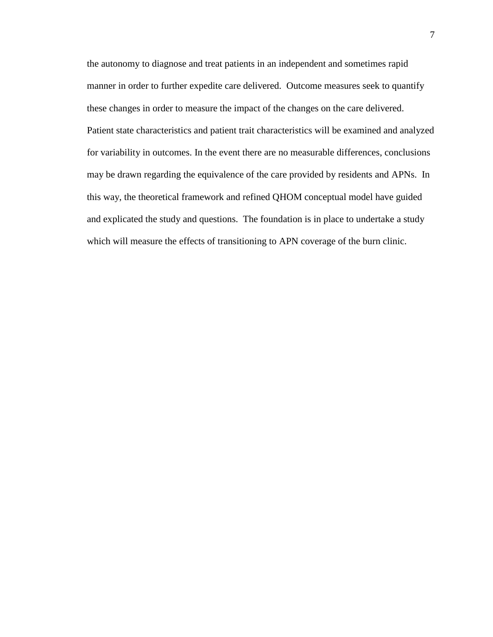the autonomy to diagnose and treat patients in an independent and sometimes rapid manner in order to further expedite care delivered. Outcome measures seek to quantify these changes in order to measure the impact of the changes on the care delivered. Patient state characteristics and patient trait characteristics will be examined and analyzed for variability in outcomes. In the event there are no measurable differences, conclusions may be drawn regarding the equivalence of the care provided by residents and APNs. In this way, the theoretical framework and refined QHOM conceptual model have guided and explicated the study and questions. The foundation is in place to undertake a study which will measure the effects of transitioning to APN coverage of the burn clinic.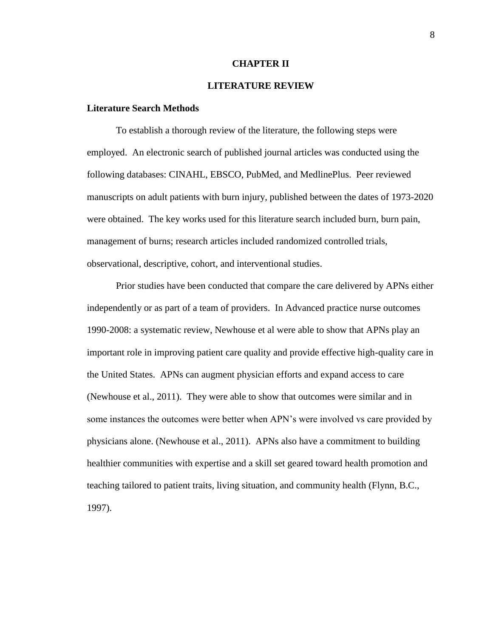#### **CHAPTER II**

# **LITERATURE REVIEW**

#### **Literature Search Methods**

To establish a thorough review of the literature, the following steps were employed. An electronic search of published journal articles was conducted using the following databases: CINAHL, EBSCO, PubMed, and MedlinePlus. Peer reviewed manuscripts on adult patients with burn injury, published between the dates of 1973-2020 were obtained. The key works used for this literature search included burn, burn pain, management of burns; research articles included randomized controlled trials, observational, descriptive, cohort, and interventional studies.

Prior studies have been conducted that compare the care delivered by APNs either independently or as part of a team of providers. In Advanced practice nurse outcomes 1990-2008: a systematic review, Newhouse et al were able to show that APNs play an important role in improving patient care quality and provide effective high-quality care in the United States. APNs can augment physician efforts and expand access to care (Newhouse et al., 2011). They were able to show that outcomes were similar and in some instances the outcomes were better when APN's were involved vs care provided by physicians alone. (Newhouse et al., 2011). APNs also have a commitment to building healthier communities with expertise and a skill set geared toward health promotion and teaching tailored to patient traits, living situation, and community health (Flynn, B.C., 1997).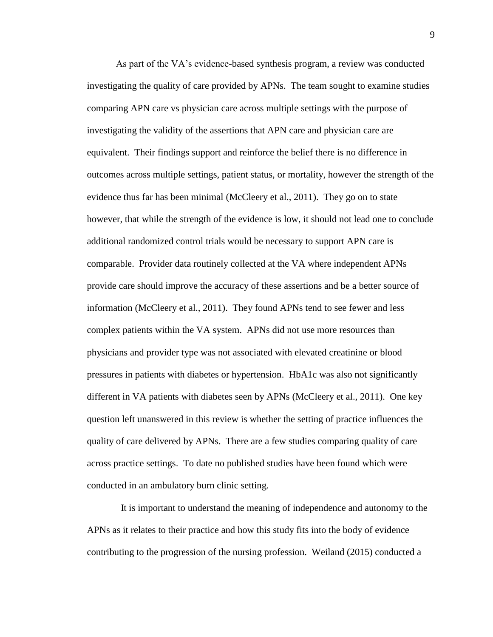As part of the VA's evidence-based synthesis program, a review was conducted investigating the quality of care provided by APNs. The team sought to examine studies comparing APN care vs physician care across multiple settings with the purpose of investigating the validity of the assertions that APN care and physician care are equivalent. Their findings support and reinforce the belief there is no difference in outcomes across multiple settings, patient status, or mortality, however the strength of the evidence thus far has been minimal (McCleery et al., 2011). They go on to state however, that while the strength of the evidence is low, it should not lead one to conclude additional randomized control trials would be necessary to support APN care is comparable. Provider data routinely collected at the VA where independent APNs provide care should improve the accuracy of these assertions and be a better source of information (McCleery et al., 2011). They found APNs tend to see fewer and less complex patients within the VA system. APNs did not use more resources than physicians and provider type was not associated with elevated creatinine or blood pressures in patients with diabetes or hypertension. HbA1c was also not significantly different in VA patients with diabetes seen by APNs (McCleery et al., 2011). One key question left unanswered in this review is whether the setting of practice influences the quality of care delivered by APNs. There are a few studies comparing quality of care across practice settings. To date no published studies have been found which were conducted in an ambulatory burn clinic setting.

 It is important to understand the meaning of independence and autonomy to the APNs as it relates to their practice and how this study fits into the body of evidence contributing to the progression of the nursing profession. Weiland (2015) conducted a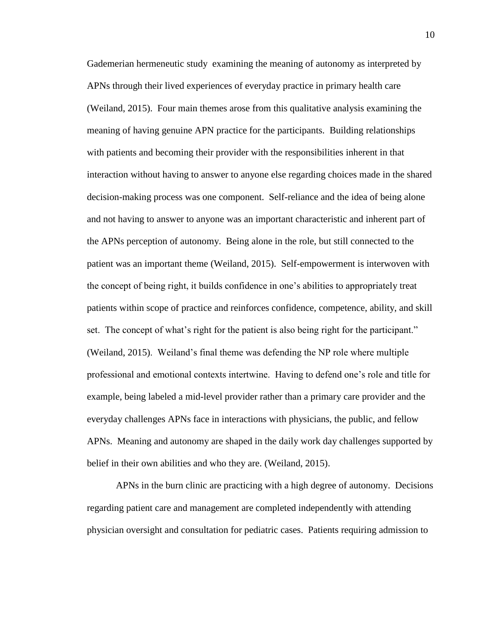Gademerian hermeneutic study examining the meaning of autonomy as interpreted by APNs through their lived experiences of everyday practice in primary health care (Weiland, 2015). Four main themes arose from this qualitative analysis examining the meaning of having genuine APN practice for the participants. Building relationships with patients and becoming their provider with the responsibilities inherent in that interaction without having to answer to anyone else regarding choices made in the shared decision-making process was one component. Self-reliance and the idea of being alone and not having to answer to anyone was an important characteristic and inherent part of the APNs perception of autonomy. Being alone in the role, but still connected to the patient was an important theme (Weiland, 2015). Self-empowerment is interwoven with the concept of being right, it builds confidence in one's abilities to appropriately treat patients within scope of practice and reinforces confidence, competence, ability, and skill set. The concept of what's right for the patient is also being right for the participant." (Weiland, 2015). Weiland's final theme was defending the NP role where multiple professional and emotional contexts intertwine. Having to defend one's role and title for example, being labeled a mid-level provider rather than a primary care provider and the everyday challenges APNs face in interactions with physicians, the public, and fellow APNs. Meaning and autonomy are shaped in the daily work day challenges supported by belief in their own abilities and who they are. (Weiland, 2015).

APNs in the burn clinic are practicing with a high degree of autonomy. Decisions regarding patient care and management are completed independently with attending physician oversight and consultation for pediatric cases. Patients requiring admission to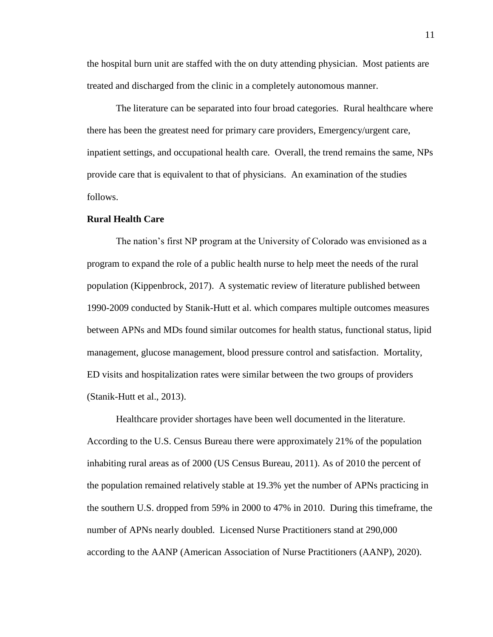the hospital burn unit are staffed with the on duty attending physician. Most patients are treated and discharged from the clinic in a completely autonomous manner.

The literature can be separated into four broad categories. Rural healthcare where there has been the greatest need for primary care providers, Emergency/urgent care, inpatient settings, and occupational health care. Overall, the trend remains the same, NPs provide care that is equivalent to that of physicians. An examination of the studies follows.

#### **Rural Health Care**

The nation's first NP program at the University of Colorado was envisioned as a program to expand the role of a public health nurse to help meet the needs of the rural population (Kippenbrock, 2017). A systematic review of literature published between 1990-2009 conducted by Stanik-Hutt et al. which compares multiple outcomes measures between APNs and MDs found similar outcomes for health status, functional status, lipid management, glucose management, blood pressure control and satisfaction. Mortality, ED visits and hospitalization rates were similar between the two groups of providers (Stanik-Hutt et al., 2013).

Healthcare provider shortages have been well documented in the literature. According to the U.S. Census Bureau there were approximately 21% of the population inhabiting rural areas as of 2000 (US Census Bureau, 2011). As of 2010 the percent of the population remained relatively stable at 19.3% yet the number of APNs practicing in the southern U.S. dropped from 59% in 2000 to 47% in 2010. During this timeframe, the number of APNs nearly doubled. Licensed Nurse Practitioners stand at 290,000 according to the AANP (American Association of Nurse Practitioners (AANP), 2020).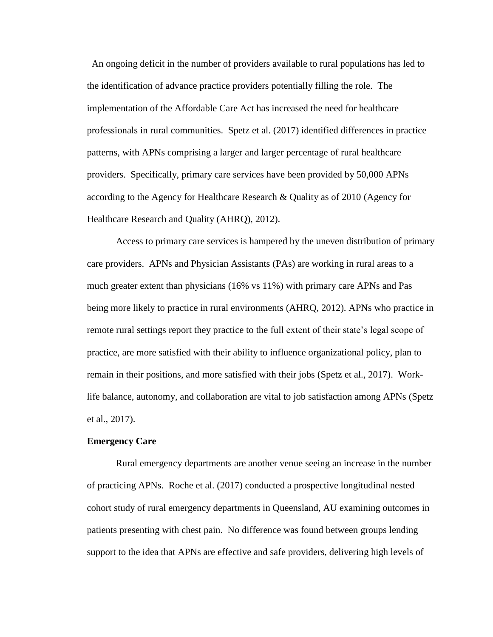An ongoing deficit in the number of providers available to rural populations has led to the identification of advance practice providers potentially filling the role. The implementation of the Affordable Care Act has increased the need for healthcare professionals in rural communities. Spetz et al. (2017) identified differences in practice patterns, with APNs comprising a larger and larger percentage of rural healthcare providers. Specifically, primary care services have been provided by 50,000 APNs according to the Agency for Healthcare Research & Quality as of 2010 (Agency for Healthcare Research and Quality (AHRQ), 2012).

Access to primary care services is hampered by the uneven distribution of primary care providers. APNs and Physician Assistants (PAs) are working in rural areas to a much greater extent than physicians (16% vs 11%) with primary care APNs and Pas being more likely to practice in rural environments (AHRQ, 2012). APNs who practice in remote rural settings report they practice to the full extent of their state's legal scope of practice, are more satisfied with their ability to influence organizational policy, plan to remain in their positions, and more satisfied with their jobs (Spetz et al., 2017). Worklife balance, autonomy, and collaboration are vital to job satisfaction among APNs (Spetz et al., 2017).

#### **Emergency Care**

Rural emergency departments are another venue seeing an increase in the number of practicing APNs. Roche et al. (2017) conducted a prospective longitudinal nested cohort study of rural emergency departments in Queensland, AU examining outcomes in patients presenting with chest pain. No difference was found between groups lending support to the idea that APNs are effective and safe providers, delivering high levels of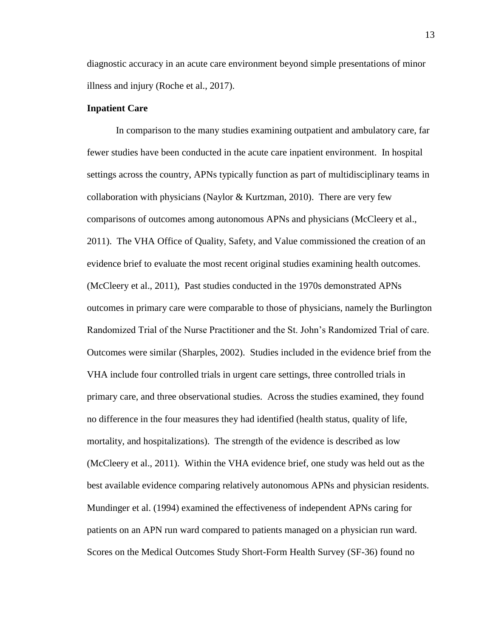diagnostic accuracy in an acute care environment beyond simple presentations of minor illness and injury (Roche et al., 2017).

#### **Inpatient Care**

In comparison to the many studies examining outpatient and ambulatory care, far fewer studies have been conducted in the acute care inpatient environment. In hospital settings across the country, APNs typically function as part of multidisciplinary teams in collaboration with physicians (Naylor & Kurtzman, 2010). There are very few comparisons of outcomes among autonomous APNs and physicians (McCleery et al., 2011). The VHA Office of Quality, Safety, and Value commissioned the creation of an evidence brief to evaluate the most recent original studies examining health outcomes. (McCleery et al., 2011), Past studies conducted in the 1970s demonstrated APNs outcomes in primary care were comparable to those of physicians, namely the Burlington Randomized Trial of the Nurse Practitioner and the St. John's Randomized Trial of care. Outcomes were similar (Sharples, 2002). Studies included in the evidence brief from the VHA include four controlled trials in urgent care settings, three controlled trials in primary care, and three observational studies. Across the studies examined, they found no difference in the four measures they had identified (health status, quality of life, mortality, and hospitalizations). The strength of the evidence is described as low (McCleery et al., 2011). Within the VHA evidence brief, one study was held out as the best available evidence comparing relatively autonomous APNs and physician residents. Mundinger et al. (1994) examined the effectiveness of independent APNs caring for patients on an APN run ward compared to patients managed on a physician run ward. Scores on the Medical Outcomes Study Short-Form Health Survey (SF-36) found no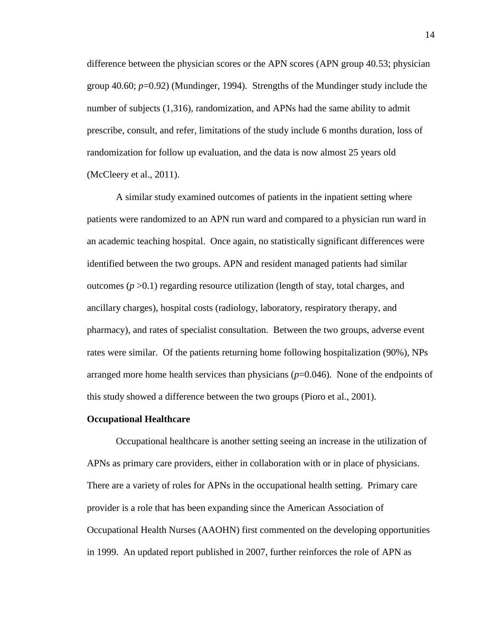difference between the physician scores or the APN scores (APN group 40.53; physician group 40.60; *p*=0.92) (Mundinger, 1994). Strengths of the Mundinger study include the number of subjects (1,316), randomization, and APNs had the same ability to admit prescribe, consult, and refer, limitations of the study include 6 months duration, loss of randomization for follow up evaluation, and the data is now almost 25 years old (McCleery et al., 2011).

A similar study examined outcomes of patients in the inpatient setting where patients were randomized to an APN run ward and compared to a physician run ward in an academic teaching hospital. Once again, no statistically significant differences were identified between the two groups. APN and resident managed patients had similar outcomes  $(p > 0.1)$  regarding resource utilization (length of stay, total charges, and ancillary charges), hospital costs (radiology, laboratory, respiratory therapy, and pharmacy), and rates of specialist consultation. Between the two groups, adverse event rates were similar. Of the patients returning home following hospitalization (90%), NPs arranged more home health services than physicians (*p*=0.046). None of the endpoints of this study showed a difference between the two groups (Pioro et al., 2001).

#### **Occupational Healthcare**

Occupational healthcare is another setting seeing an increase in the utilization of APNs as primary care providers, either in collaboration with or in place of physicians. There are a variety of roles for APNs in the occupational health setting. Primary care provider is a role that has been expanding since the American Association of Occupational Health Nurses (AAOHN) first commented on the developing opportunities in 1999. An updated report published in 2007, further reinforces the role of APN as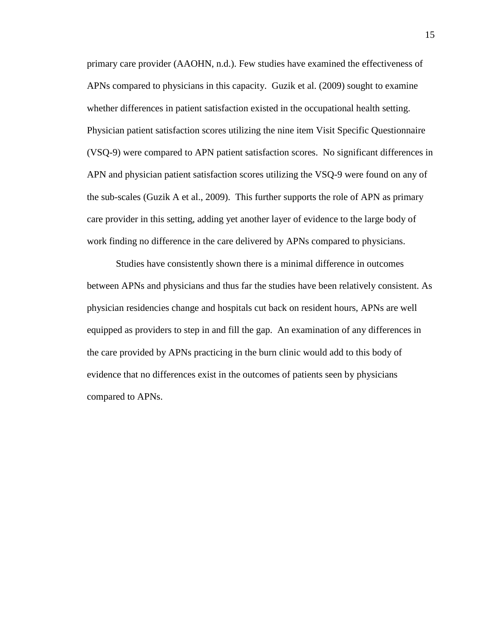primary care provider (AAOHN, n.d.). Few studies have examined the effectiveness of APNs compared to physicians in this capacity. Guzik et al. (2009) sought to examine whether differences in patient satisfaction existed in the occupational health setting. Physician patient satisfaction scores utilizing the nine item Visit Specific Questionnaire (VSQ-9) were compared to APN patient satisfaction scores. No significant differences in APN and physician patient satisfaction scores utilizing the VSQ-9 were found on any of the sub-scales (Guzik A et al., 2009). This further supports the role of APN as primary care provider in this setting, adding yet another layer of evidence to the large body of work finding no difference in the care delivered by APNs compared to physicians.

Studies have consistently shown there is a minimal difference in outcomes between APNs and physicians and thus far the studies have been relatively consistent. As physician residencies change and hospitals cut back on resident hours, APNs are well equipped as providers to step in and fill the gap. An examination of any differences in the care provided by APNs practicing in the burn clinic would add to this body of evidence that no differences exist in the outcomes of patients seen by physicians compared to APNs.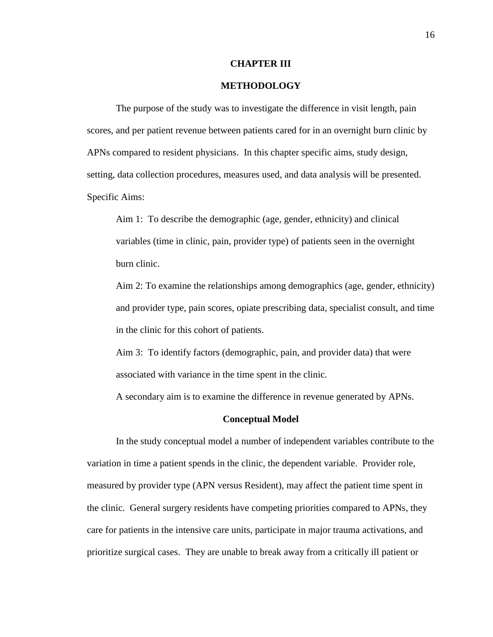#### **CHAPTER III**

#### **METHODOLOGY**

The purpose of the study was to investigate the difference in visit length, pain scores, and per patient revenue between patients cared for in an overnight burn clinic by APNs compared to resident physicians. In this chapter specific aims, study design, setting, data collection procedures, measures used, and data analysis will be presented. Specific Aims:

Aim 1: To describe the demographic (age, gender, ethnicity) and clinical variables (time in clinic, pain, provider type) of patients seen in the overnight burn clinic.

Aim 2: To examine the relationships among demographics (age, gender, ethnicity) and provider type, pain scores, opiate prescribing data, specialist consult, and time in the clinic for this cohort of patients.

Aim 3: To identify factors (demographic, pain, and provider data) that were associated with variance in the time spent in the clinic.

A secondary aim is to examine the difference in revenue generated by APNs.

#### **Conceptual Model**

In the study conceptual model a number of independent variables contribute to the variation in time a patient spends in the clinic, the dependent variable. Provider role, measured by provider type (APN versus Resident), may affect the patient time spent in the clinic. General surgery residents have competing priorities compared to APNs, they care for patients in the intensive care units, participate in major trauma activations, and prioritize surgical cases. They are unable to break away from a critically ill patient or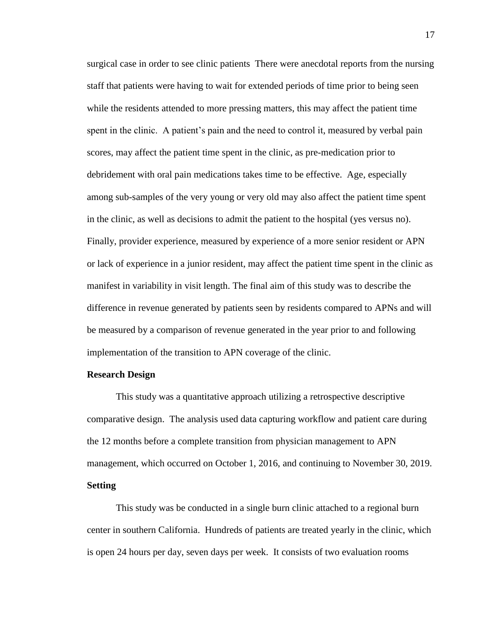surgical case in order to see clinic patients There were anecdotal reports from the nursing staff that patients were having to wait for extended periods of time prior to being seen while the residents attended to more pressing matters, this may affect the patient time spent in the clinic. A patient's pain and the need to control it, measured by verbal pain scores, may affect the patient time spent in the clinic, as pre-medication prior to debridement with oral pain medications takes time to be effective. Age, especially among sub-samples of the very young or very old may also affect the patient time spent in the clinic, as well as decisions to admit the patient to the hospital (yes versus no). Finally, provider experience, measured by experience of a more senior resident or APN or lack of experience in a junior resident, may affect the patient time spent in the clinic as manifest in variability in visit length. The final aim of this study was to describe the difference in revenue generated by patients seen by residents compared to APNs and will be measured by a comparison of revenue generated in the year prior to and following implementation of the transition to APN coverage of the clinic.

#### **Research Design**

This study was a quantitative approach utilizing a retrospective descriptive comparative design. The analysis used data capturing workflow and patient care during the 12 months before a complete transition from physician management to APN management, which occurred on October 1, 2016, and continuing to November 30, 2019. **Setting**

This study was be conducted in a single burn clinic attached to a regional burn center in southern California. Hundreds of patients are treated yearly in the clinic, which is open 24 hours per day, seven days per week. It consists of two evaluation rooms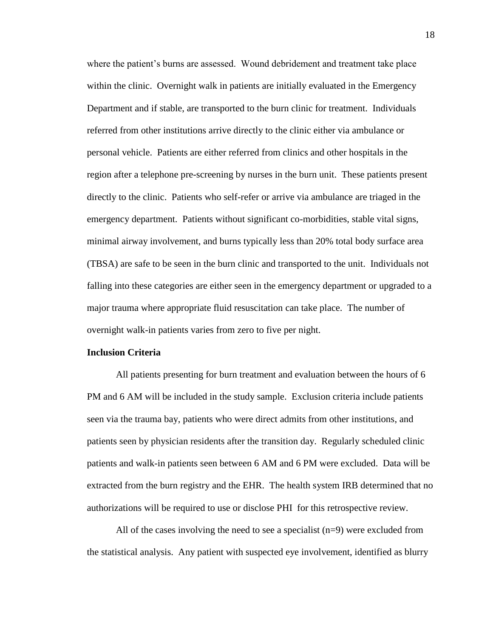where the patient's burns are assessed. Wound debridement and treatment take place within the clinic. Overnight walk in patients are initially evaluated in the Emergency Department and if stable, are transported to the burn clinic for treatment. Individuals referred from other institutions arrive directly to the clinic either via ambulance or personal vehicle. Patients are either referred from clinics and other hospitals in the region after a telephone pre-screening by nurses in the burn unit. These patients present directly to the clinic. Patients who self-refer or arrive via ambulance are triaged in the emergency department. Patients without significant co-morbidities, stable vital signs, minimal airway involvement, and burns typically less than 20% total body surface area (TBSA) are safe to be seen in the burn clinic and transported to the unit. Individuals not falling into these categories are either seen in the emergency department or upgraded to a major trauma where appropriate fluid resuscitation can take place. The number of overnight walk-in patients varies from zero to five per night.

#### **Inclusion Criteria**

All patients presenting for burn treatment and evaluation between the hours of 6 PM and 6 AM will be included in the study sample. Exclusion criteria include patients seen via the trauma bay, patients who were direct admits from other institutions, and patients seen by physician residents after the transition day. Regularly scheduled clinic patients and walk-in patients seen between 6 AM and 6 PM were excluded. Data will be extracted from the burn registry and the EHR. The health system IRB determined that no authorizations will be required to use or disclose PHI for this retrospective review.

All of the cases involving the need to see a specialist  $(n=9)$  were excluded from the statistical analysis. Any patient with suspected eye involvement, identified as blurry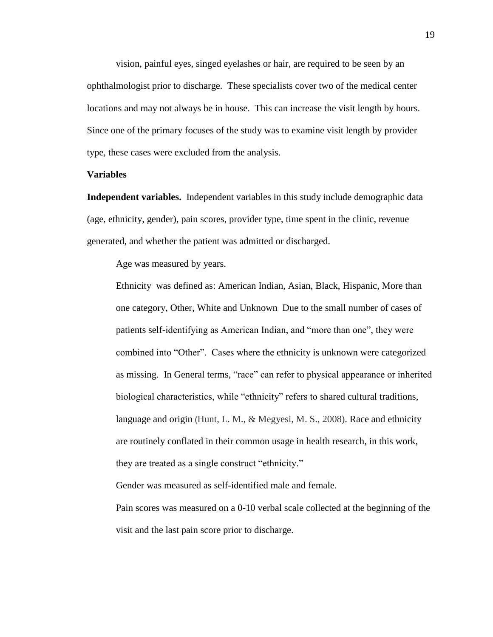vision, painful eyes, singed eyelashes or hair, are required to be seen by an ophthalmologist prior to discharge. These specialists cover two of the medical center locations and may not always be in house. This can increase the visit length by hours. Since one of the primary focuses of the study was to examine visit length by provider type, these cases were excluded from the analysis.

#### **Variables**

**Independent variables.** Independent variables in this study include demographic data (age, ethnicity, gender), pain scores, provider type, time spent in the clinic, revenue generated, and whether the patient was admitted or discharged.

Age was measured by years.

Ethnicity was defined as: American Indian, Asian, Black, Hispanic, More than one category, Other, White and Unknown Due to the small number of cases of patients self-identifying as American Indian, and "more than one", they were combined into "Other". Cases where the ethnicity is unknown were categorized as missing. In General terms, "race" can refer to physical appearance or inherited biological characteristics, while "ethnicity" refers to shared cultural traditions, language and origin (Hunt, L. M., & Megyesi, M. S., 2008). Race and ethnicity are routinely conflated in their common usage in health research, in this work, they are treated as a single construct "ethnicity."

Gender was measured as self-identified male and female.

Pain scores was measured on a 0-10 verbal scale collected at the beginning of the visit and the last pain score prior to discharge.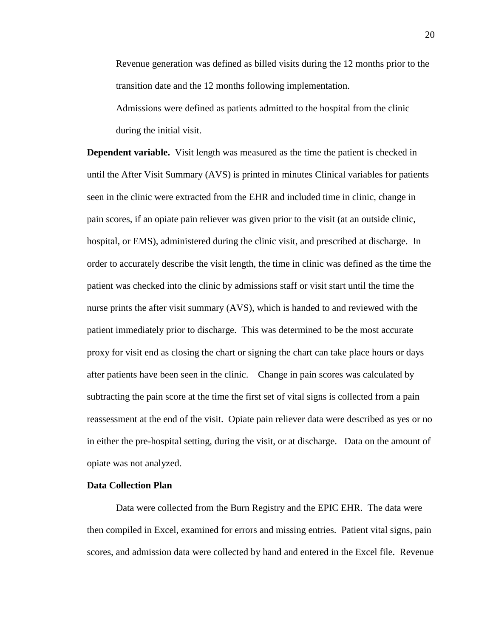Revenue generation was defined as billed visits during the 12 months prior to the transition date and the 12 months following implementation.

Admissions were defined as patients admitted to the hospital from the clinic during the initial visit.

**Dependent variable.** Visit length was measured as the time the patient is checked in until the After Visit Summary (AVS) is printed in minutes Clinical variables for patients seen in the clinic were extracted from the EHR and included time in clinic, change in pain scores, if an opiate pain reliever was given prior to the visit (at an outside clinic, hospital, or EMS), administered during the clinic visit, and prescribed at discharge. In order to accurately describe the visit length, the time in clinic was defined as the time the patient was checked into the clinic by admissions staff or visit start until the time the nurse prints the after visit summary (AVS), which is handed to and reviewed with the patient immediately prior to discharge. This was determined to be the most accurate proxy for visit end as closing the chart or signing the chart can take place hours or days after patients have been seen in the clinic. Change in pain scores was calculated by subtracting the pain score at the time the first set of vital signs is collected from a pain reassessment at the end of the visit. Opiate pain reliever data were described as yes or no in either the pre-hospital setting, during the visit, or at discharge. Data on the amount of opiate was not analyzed.

#### **Data Collection Plan**

Data were collected from the Burn Registry and the EPIC EHR. The data were then compiled in Excel, examined for errors and missing entries. Patient vital signs, pain scores, and admission data were collected by hand and entered in the Excel file. Revenue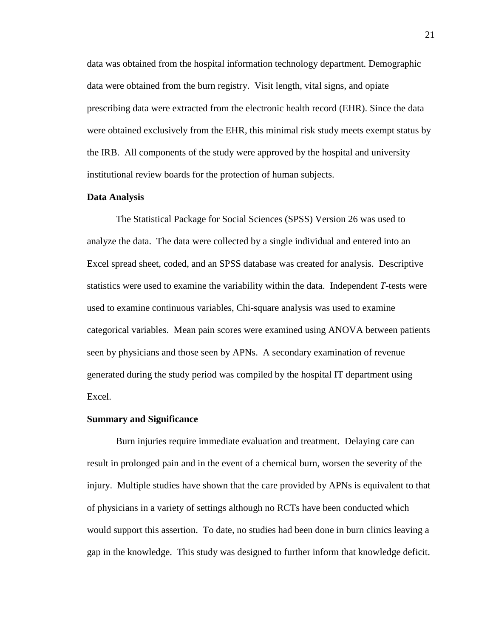data was obtained from the hospital information technology department. Demographic data were obtained from the burn registry. Visit length, vital signs, and opiate prescribing data were extracted from the electronic health record (EHR). Since the data were obtained exclusively from the EHR, this minimal risk study meets exempt status by the IRB. All components of the study were approved by the hospital and university institutional review boards for the protection of human subjects.

#### **Data Analysis**

The Statistical Package for Social Sciences (SPSS) Version 26 was used to analyze the data. The data were collected by a single individual and entered into an Excel spread sheet, coded, and an SPSS database was created for analysis. Descriptive statistics were used to examine the variability within the data. Independent *T-*tests were used to examine continuous variables, Chi-square analysis was used to examine categorical variables. Mean pain scores were examined using ANOVA between patients seen by physicians and those seen by APNs. A secondary examination of revenue generated during the study period was compiled by the hospital IT department using Excel.

#### **Summary and Significance**

Burn injuries require immediate evaluation and treatment. Delaying care can result in prolonged pain and in the event of a chemical burn, worsen the severity of the injury. Multiple studies have shown that the care provided by APNs is equivalent to that of physicians in a variety of settings although no RCTs have been conducted which would support this assertion. To date, no studies had been done in burn clinics leaving a gap in the knowledge. This study was designed to further inform that knowledge deficit.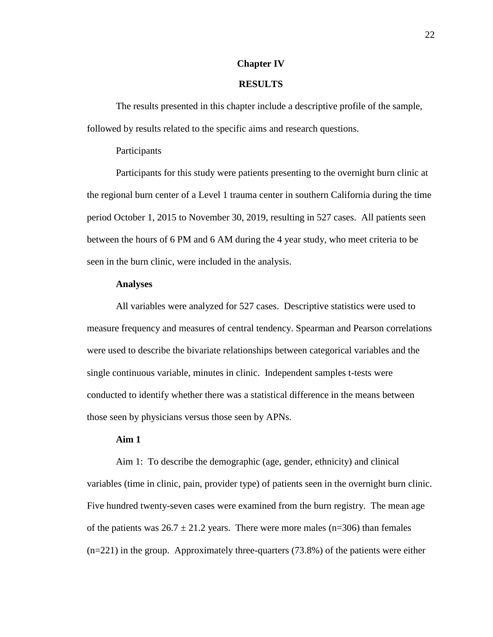#### **Chapter IV**

### **RESULTS**

The results presented in this chapter include a descriptive profile of the sample, followed by results related to the specific aims and research questions.

#### Participants

Participants for this study were patients presenting to the overnight burn clinic at the regional burn center of a Level 1 trauma center in southern California during the time period October 1, 2015 to November 30, 2019, resulting in 527 cases. All patients seen between the hours of 6 PM and 6 AM during the 4 year study, who meet criteria to be seen in the burn clinic, were included in the analysis.

#### **Analyses**

All variables were analyzed for 527 cases. Descriptive statistics were used to measure frequency and measures of central tendency. Spearman and Pearson correlations were used to describe the bivariate relationships between categorical variables and the single continuous variable, minutes in clinic. Independent samples t-tests were conducted to identify whether there was a statistical difference in the means between those seen by physicians versus those seen by APNs.

#### **Aim 1**

Aim 1: To describe the demographic (age, gender, ethnicity) and clinical variables (time in clinic, pain, provider type) of patients seen in the overnight burn clinic. Five hundred twenty-seven cases were examined from the burn registry. The mean age of the patients was  $26.7 \pm 21.2$  years. There were more males (n=306) than females (n=221) in the group. Approximately three-quarters (73.8%) of the patients were either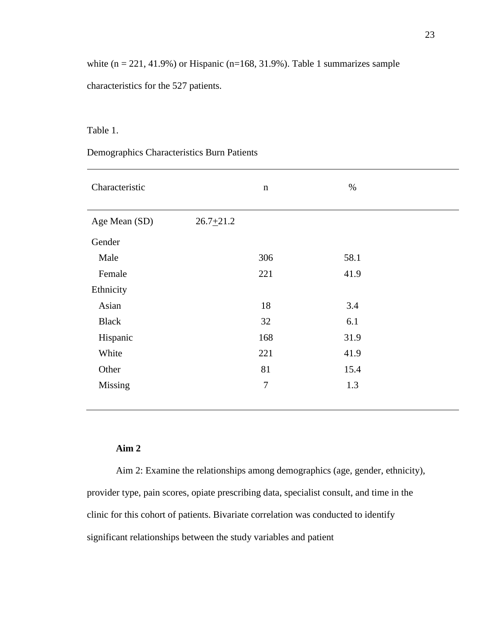white  $(n = 221, 41.9\%)$  or Hispanic  $(n=168, 31.9\%)$ . Table 1 summarizes sample characteristics for the 527 patients.

### Table 1.

# Demographics Characteristics Burn Patients

| Characteristic |               | $\mathbf n$      | $\%$ |
|----------------|---------------|------------------|------|
| Age Mean (SD)  | $26.7 + 21.2$ |                  |      |
| Gender         |               |                  |      |
| Male           |               | 306              | 58.1 |
| Female         |               | 221              | 41.9 |
| Ethnicity      |               |                  |      |
| Asian          |               | 18               | 3.4  |
| <b>Black</b>   |               | 32               | 6.1  |
| Hispanic       |               | 168              | 31.9 |
| White          |               | 221              | 41.9 |
| Other          |               | 81               | 15.4 |
| Missing        |               | $\boldsymbol{7}$ | 1.3  |
|                |               |                  |      |

### **Aim 2**

Aim 2: Examine the relationships among demographics (age, gender, ethnicity), provider type, pain scores, opiate prescribing data, specialist consult, and time in the clinic for this cohort of patients. Bivariate correlation was conducted to identify significant relationships between the study variables and patient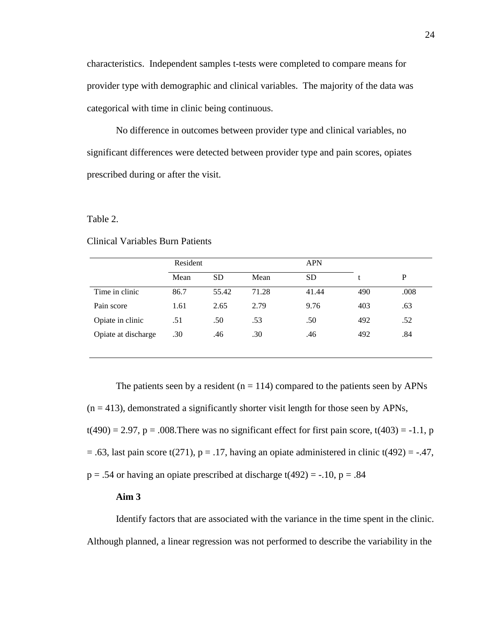characteristics. Independent samples t-tests were completed to compare means for provider type with demographic and clinical variables. The majority of the data was categorical with time in clinic being continuous.

No difference in outcomes between provider type and clinical variables, no significant differences were detected between provider type and pain scores, opiates prescribed during or after the visit.

#### Table 2.

#### Clinical Variables Burn Patients

|                     | Resident |           |       | <b>APN</b> |     |      |
|---------------------|----------|-----------|-------|------------|-----|------|
|                     | Mean     | <b>SD</b> | Mean  | <b>SD</b>  |     | P    |
| Time in clinic      | 86.7     | 55.42     | 71.28 | 41.44      | 490 | .008 |
| Pain score          | 1.61     | 2.65      | 2.79  | 9.76       | 403 | .63  |
| Opiate in clinic    | .51      | .50       | .53   | .50        | 492 | .52  |
| Opiate at discharge | .30      | .46       | .30   | .46        | 492 | .84  |

The patients seen by a resident ( $n = 114$ ) compared to the patients seen by APNs  $(n = 413)$ , demonstrated a significantly shorter visit length for those seen by APNs,

 $t(490) = 2.97$ ,  $p = .008$ . There was no significant effect for first pain score,  $t(403) = -1.1$ , p

 $= .63$ , last pain score t(271), p = .17, having an opiate administered in clinic t(492) = -.47,

 $p = .54$  or having an opiate prescribed at discharge t(492) = -.10,  $p = .84$ 

#### **Aim 3**

Identify factors that are associated with the variance in the time spent in the clinic. Although planned, a linear regression was not performed to describe the variability in the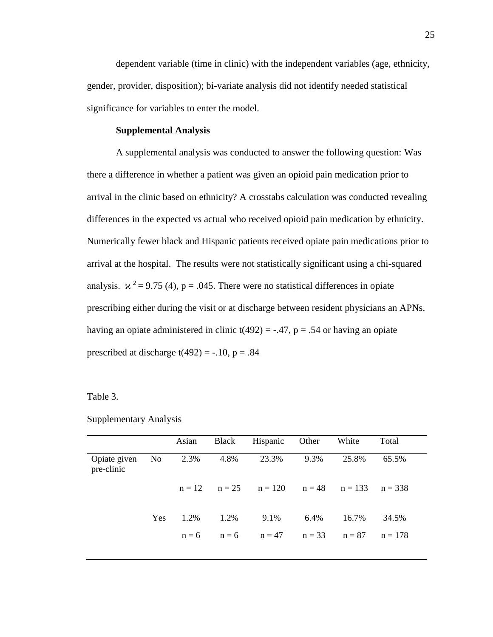dependent variable (time in clinic) with the independent variables (age, ethnicity, gender, provider, disposition); bi-variate analysis did not identify needed statistical significance for variables to enter the model.

#### **Supplemental Analysis**

A supplemental analysis was conducted to answer the following question: Was there a difference in whether a patient was given an opioid pain medication prior to arrival in the clinic based on ethnicity? A crosstabs calculation was conducted revealing differences in the expected vs actual who received opioid pain medication by ethnicity. Numerically fewer black and Hispanic patients received opiate pain medications prior to arrival at the hospital. The results were not statistically significant using a chi-squared analysis.  $\mathbf{x}^2 = 9.75$  (4), p = .045. There were no statistical differences in opiate prescribing either during the visit or at discharge between resident physicians an APNs. having an opiate administered in clinic  $t(492) = -.47$ ,  $p = .54$  or having an opiate prescribed at discharge  $t(492) = -.10$ ,  $p = .84$ 

Table 3.

Supplementary Analysis

|                            |     | Asian   |      | Black Hispanic Other                           |         | White | Total     |
|----------------------------|-----|---------|------|------------------------------------------------|---------|-------|-----------|
| Opiate given<br>pre-clinic |     | No 2.3% | 4.8% | 23.3%                                          | 9.3%    | 25.8% | 65.5%     |
|                            |     |         |      | $n = 12$ $n = 25$ $n = 120$ $n = 48$ $n = 133$ |         |       | $n = 338$ |
|                            | Yes | 1.2%    | 1.2% | 9.1%                                           | $6.4\%$ | 16.7% | 34.5%     |
|                            |     |         |      | $n = 6$ $n = 6$ $n = 47$ $n = 33$ $n = 87$     |         |       | $n = 178$ |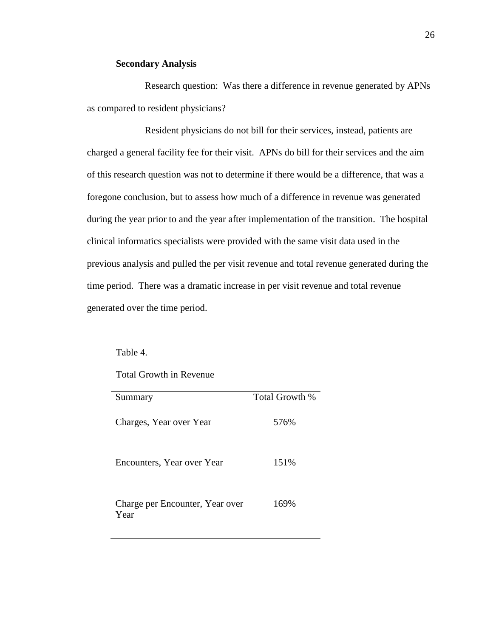#### **Secondary Analysis**

Research question: Was there a difference in revenue generated by APNs as compared to resident physicians?

Resident physicians do not bill for their services, instead, patients are charged a general facility fee for their visit. APNs do bill for their services and the aim of this research question was not to determine if there would be a difference, that was a foregone conclusion, but to assess how much of a difference in revenue was generated during the year prior to and the year after implementation of the transition. The hospital clinical informatics specialists were provided with the same visit data used in the previous analysis and pulled the per visit revenue and total revenue generated during the time period. There was a dramatic increase in per visit revenue and total revenue generated over the time period.

Table 4.

Total Growth in Revenue

| Summary                         | Total Growth % |
|---------------------------------|----------------|
|                                 |                |
| Charges, Year over Year         | 576%           |
|                                 |                |
| Encounters, Year over Year      | 151%           |
|                                 |                |
|                                 |                |
| Charge per Encounter, Year over | 169%           |
| Year                            |                |
|                                 |                |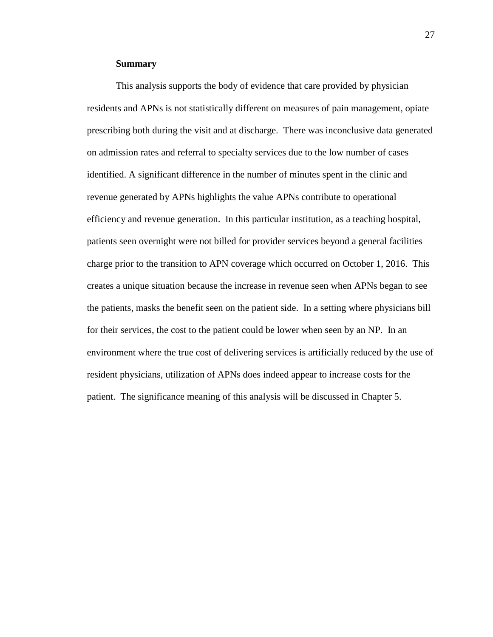#### **Summary**

This analysis supports the body of evidence that care provided by physician residents and APNs is not statistically different on measures of pain management, opiate prescribing both during the visit and at discharge. There was inconclusive data generated on admission rates and referral to specialty services due to the low number of cases identified. A significant difference in the number of minutes spent in the clinic and revenue generated by APNs highlights the value APNs contribute to operational efficiency and revenue generation. In this particular institution, as a teaching hospital, patients seen overnight were not billed for provider services beyond a general facilities charge prior to the transition to APN coverage which occurred on October 1, 2016. This creates a unique situation because the increase in revenue seen when APNs began to see the patients, masks the benefit seen on the patient side. In a setting where physicians bill for their services, the cost to the patient could be lower when seen by an NP. In an environment where the true cost of delivering services is artificially reduced by the use of resident physicians, utilization of APNs does indeed appear to increase costs for the patient. The significance meaning of this analysis will be discussed in Chapter 5.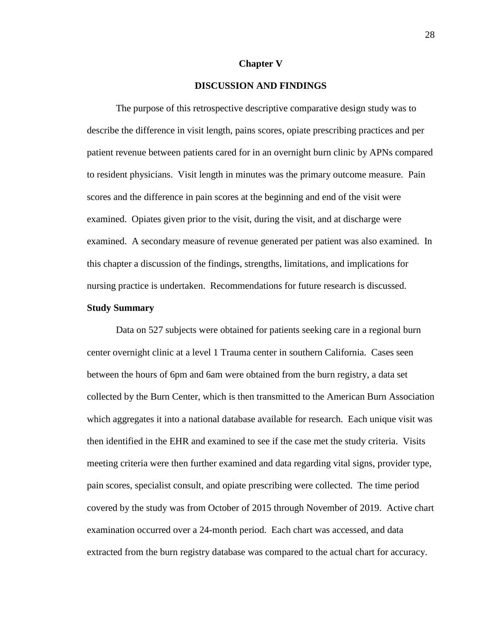#### **Chapter V**

#### **DISCUSSION AND FINDINGS**

The purpose of this retrospective descriptive comparative design study was to describe the difference in visit length, pains scores, opiate prescribing practices and per patient revenue between patients cared for in an overnight burn clinic by APNs compared to resident physicians. Visit length in minutes was the primary outcome measure. Pain scores and the difference in pain scores at the beginning and end of the visit were examined. Opiates given prior to the visit, during the visit, and at discharge were examined. A secondary measure of revenue generated per patient was also examined. In this chapter a discussion of the findings, strengths, limitations, and implications for nursing practice is undertaken. Recommendations for future research is discussed.

#### **Study Summary**

Data on 527 subjects were obtained for patients seeking care in a regional burn center overnight clinic at a level 1 Trauma center in southern California. Cases seen between the hours of 6pm and 6am were obtained from the burn registry, a data set collected by the Burn Center, which is then transmitted to the American Burn Association which aggregates it into a national database available for research. Each unique visit was then identified in the EHR and examined to see if the case met the study criteria. Visits meeting criteria were then further examined and data regarding vital signs, provider type, pain scores, specialist consult, and opiate prescribing were collected. The time period covered by the study was from October of 2015 through November of 2019. Active chart examination occurred over a 24-month period. Each chart was accessed, and data extracted from the burn registry database was compared to the actual chart for accuracy.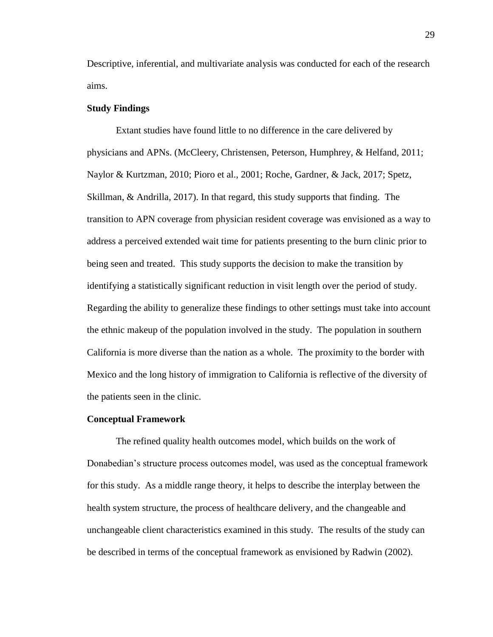Descriptive, inferential, and multivariate analysis was conducted for each of the research aims.

#### **Study Findings**

Extant studies have found little to no difference in the care delivered by physicians and APNs. (McCleery, Christensen, Peterson, Humphrey, & Helfand, 2011; Naylor & Kurtzman, 2010; Pioro et al., 2001; Roche, Gardner, & Jack, 2017; Spetz, Skillman, & Andrilla, 2017). In that regard, this study supports that finding. The transition to APN coverage from physician resident coverage was envisioned as a way to address a perceived extended wait time for patients presenting to the burn clinic prior to being seen and treated. This study supports the decision to make the transition by identifying a statistically significant reduction in visit length over the period of study. Regarding the ability to generalize these findings to other settings must take into account the ethnic makeup of the population involved in the study. The population in southern California is more diverse than the nation as a whole. The proximity to the border with Mexico and the long history of immigration to California is reflective of the diversity of the patients seen in the clinic.

#### **Conceptual Framework**

The refined quality health outcomes model, which builds on the work of Donabedian's structure process outcomes model, was used as the conceptual framework for this study. As a middle range theory, it helps to describe the interplay between the health system structure, the process of healthcare delivery, and the changeable and unchangeable client characteristics examined in this study. The results of the study can be described in terms of the conceptual framework as envisioned by Radwin (2002).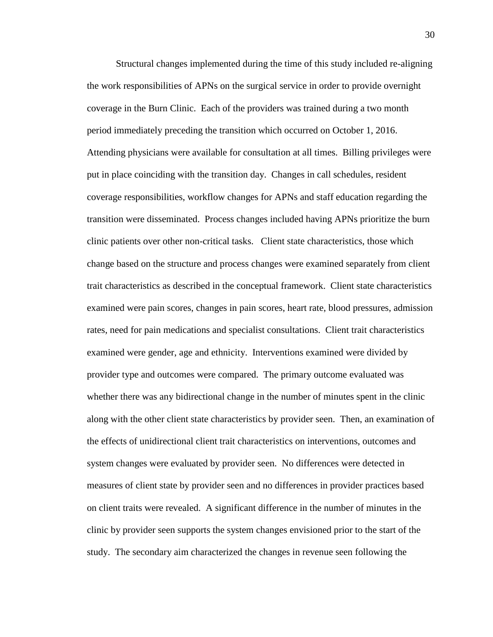Structural changes implemented during the time of this study included re-aligning the work responsibilities of APNs on the surgical service in order to provide overnight coverage in the Burn Clinic. Each of the providers was trained during a two month period immediately preceding the transition which occurred on October 1, 2016. Attending physicians were available for consultation at all times. Billing privileges were put in place coinciding with the transition day. Changes in call schedules, resident coverage responsibilities, workflow changes for APNs and staff education regarding the transition were disseminated. Process changes included having APNs prioritize the burn clinic patients over other non-critical tasks. Client state characteristics, those which change based on the structure and process changes were examined separately from client trait characteristics as described in the conceptual framework. Client state characteristics examined were pain scores, changes in pain scores, heart rate, blood pressures, admission rates, need for pain medications and specialist consultations. Client trait characteristics examined were gender, age and ethnicity. Interventions examined were divided by provider type and outcomes were compared. The primary outcome evaluated was whether there was any bidirectional change in the number of minutes spent in the clinic along with the other client state characteristics by provider seen. Then, an examination of the effects of unidirectional client trait characteristics on interventions, outcomes and system changes were evaluated by provider seen. No differences were detected in measures of client state by provider seen and no differences in provider practices based on client traits were revealed. A significant difference in the number of minutes in the clinic by provider seen supports the system changes envisioned prior to the start of the study. The secondary aim characterized the changes in revenue seen following the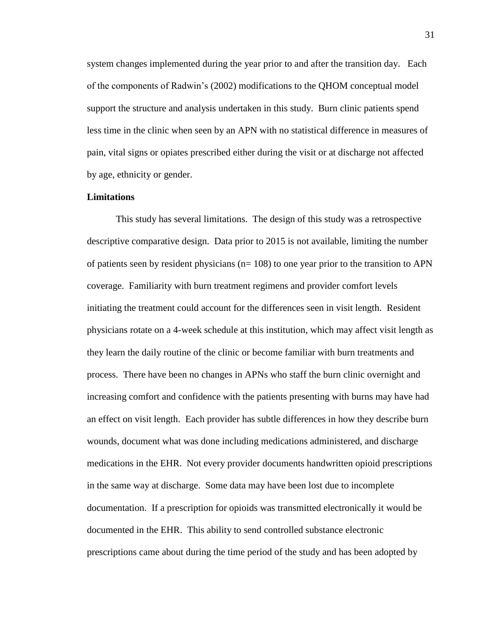system changes implemented during the year prior to and after the transition day. Each of the components of Radwin's (2002) modifications to the QHOM conceptual model support the structure and analysis undertaken in this study. Burn clinic patients spend less time in the clinic when seen by an APN with no statistical difference in measures of pain, vital signs or opiates prescribed either during the visit or at discharge not affected by age, ethnicity or gender.

#### **Limitations**

This study has several limitations. The design of this study was a retrospective descriptive comparative design. Data prior to 2015 is not available, limiting the number of patients seen by resident physicians ( $n= 108$ ) to one year prior to the transition to APN coverage. Familiarity with burn treatment regimens and provider comfort levels initiating the treatment could account for the differences seen in visit length. Resident physicians rotate on a 4-week schedule at this institution, which may affect visit length as they learn the daily routine of the clinic or become familiar with burn treatments and process. There have been no changes in APNs who staff the burn clinic overnight and increasing comfort and confidence with the patients presenting with burns may have had an effect on visit length. Each provider has subtle differences in how they describe burn wounds, document what was done including medications administered, and discharge medications in the EHR. Not every provider documents handwritten opioid prescriptions in the same way at discharge. Some data may have been lost due to incomplete documentation. If a prescription for opioids was transmitted electronically it would be documented in the EHR. This ability to send controlled substance electronic prescriptions came about during the time period of the study and has been adopted by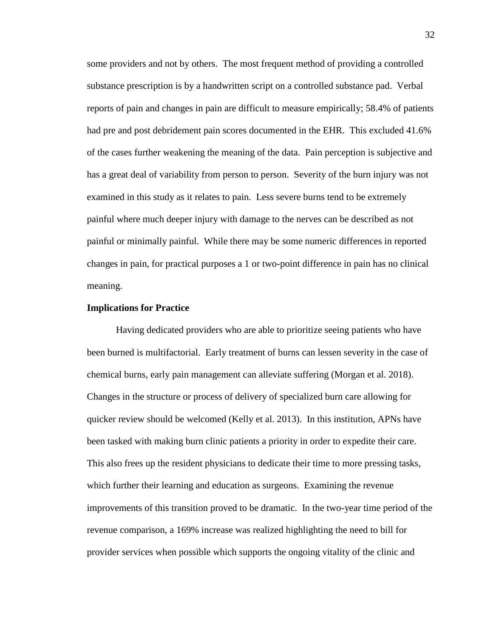some providers and not by others. The most frequent method of providing a controlled substance prescription is by a handwritten script on a controlled substance pad. Verbal reports of pain and changes in pain are difficult to measure empirically; 58.4% of patients had pre and post debridement pain scores documented in the EHR. This excluded 41.6% of the cases further weakening the meaning of the data. Pain perception is subjective and has a great deal of variability from person to person. Severity of the burn injury was not examined in this study as it relates to pain. Less severe burns tend to be extremely painful where much deeper injury with damage to the nerves can be described as not painful or minimally painful. While there may be some numeric differences in reported changes in pain, for practical purposes a 1 or two-point difference in pain has no clinical meaning.

#### **Implications for Practice**

Having dedicated providers who are able to prioritize seeing patients who have been burned is multifactorial. Early treatment of burns can lessen severity in the case of chemical burns, early pain management can alleviate suffering (Morgan et al. 2018). Changes in the structure or process of delivery of specialized burn care allowing for quicker review should be welcomed (Kelly et al. 2013). In this institution, APNs have been tasked with making burn clinic patients a priority in order to expedite their care. This also frees up the resident physicians to dedicate their time to more pressing tasks, which further their learning and education as surgeons. Examining the revenue improvements of this transition proved to be dramatic. In the two-year time period of the revenue comparison, a 169% increase was realized highlighting the need to bill for provider services when possible which supports the ongoing vitality of the clinic and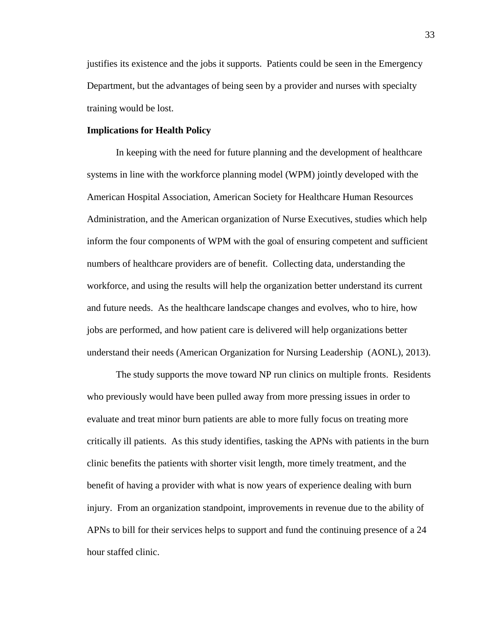justifies its existence and the jobs it supports. Patients could be seen in the Emergency Department, but the advantages of being seen by a provider and nurses with specialty training would be lost.

#### **Implications for Health Policy**

In keeping with the need for future planning and the development of healthcare systems in line with the workforce planning model (WPM) jointly developed with the American Hospital Association, American Society for Healthcare Human Resources Administration, and the American organization of Nurse Executives, studies which help inform the four components of WPM with the goal of ensuring competent and sufficient numbers of healthcare providers are of benefit. Collecting data, understanding the workforce, and using the results will help the organization better understand its current and future needs. As the healthcare landscape changes and evolves, who to hire, how jobs are performed, and how patient care is delivered will help organizations better understand their needs (American Organization for Nursing Leadership (AONL), 2013).

The study supports the move toward NP run clinics on multiple fronts. Residents who previously would have been pulled away from more pressing issues in order to evaluate and treat minor burn patients are able to more fully focus on treating more critically ill patients. As this study identifies, tasking the APNs with patients in the burn clinic benefits the patients with shorter visit length, more timely treatment, and the benefit of having a provider with what is now years of experience dealing with burn injury. From an organization standpoint, improvements in revenue due to the ability of APNs to bill for their services helps to support and fund the continuing presence of a 24 hour staffed clinic.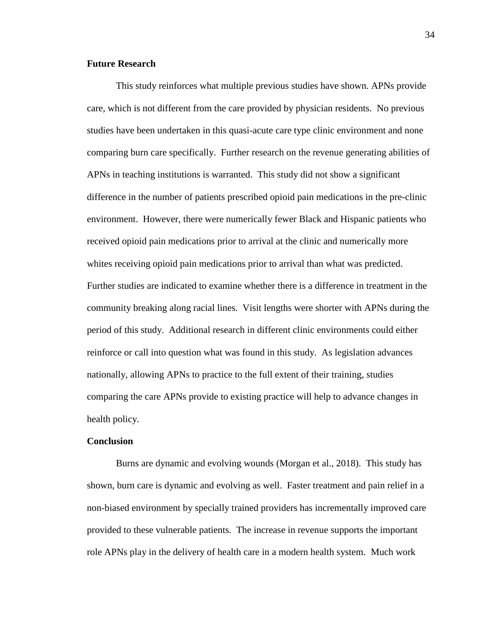#### **Future Research**

This study reinforces what multiple previous studies have shown. APNs provide care, which is not different from the care provided by physician residents. No previous studies have been undertaken in this quasi-acute care type clinic environment and none comparing burn care specifically. Further research on the revenue generating abilities of APNs in teaching institutions is warranted. This study did not show a significant difference in the number of patients prescribed opioid pain medications in the pre-clinic environment. However, there were numerically fewer Black and Hispanic patients who received opioid pain medications prior to arrival at the clinic and numerically more whites receiving opioid pain medications prior to arrival than what was predicted. Further studies are indicated to examine whether there is a difference in treatment in the community breaking along racial lines. Visit lengths were shorter with APNs during the period of this study. Additional research in different clinic environments could either reinforce or call into question what was found in this study. As legislation advances nationally, allowing APNs to practice to the full extent of their training, studies comparing the care APNs provide to existing practice will help to advance changes in health policy.

#### **Conclusion**

Burns are dynamic and evolving wounds (Morgan et al., 2018). This study has shown, burn care is dynamic and evolving as well. Faster treatment and pain relief in a non-biased environment by specially trained providers has incrementally improved care provided to these vulnerable patients. The increase in revenue supports the important role APNs play in the delivery of health care in a modern health system. Much work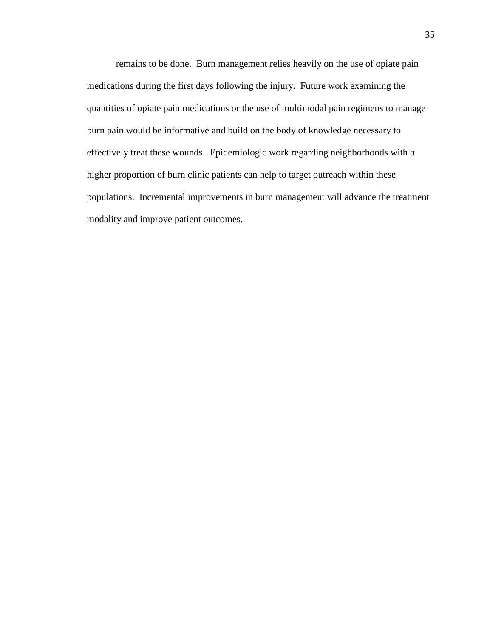remains to be done. Burn management relies heavily on the use of opiate pain medications during the first days following the injury. Future work examining the quantities of opiate pain medications or the use of multimodal pain regimens to manage burn pain would be informative and build on the body of knowledge necessary to effectively treat these wounds. Epidemiologic work regarding neighborhoods with a higher proportion of burn clinic patients can help to target outreach within these populations. Incremental improvements in burn management will advance the treatment modality and improve patient outcomes.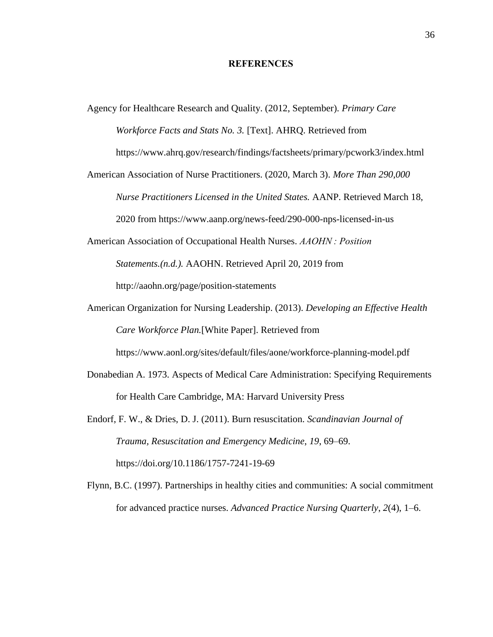#### **REFERENCES**

Agency for Healthcare Research and Quality. (2012, September). *Primary Care Workforce Facts and Stats No. 3.* [Text]. AHRQ. Retrieved from

https://www.ahrq.gov/research/findings/factsheets/primary/pcwork3/index.html

American Association of Nurse Practitioners. (2020, March 3). *More Than 290,000 Nurse Practitioners Licensed in the United States.* AANP. Retrieved March 18, 2020 from https://www.aanp.org/news-feed/290-000-nps-licensed-in-us

American Association of Occupational Health Nurses. *AAOHN : Position* 

*Statements.(n.d.).* AAOHN. Retrieved April 20, 2019 from

http://aaohn.org/page/position-statements

- American Organization for Nursing Leadership. (2013). *Developing an Effective Health Care Workforce Plan.*[White Paper]. Retrieved from https://www.aonl.org/sites/default/files/aone/workforce-planning-model.pdf
- Donabedian A. 1973. Aspects of Medical Care Administration: Specifying Requirements for Health Care Cambridge, MA: Harvard University Press
- Endorf, F. W., & Dries, D. J. (2011). Burn resuscitation. *Scandinavian Journal of Trauma, Resuscitation and Emergency Medicine*, *19*, 69–69. https://doi.org/10.1186/1757-7241-19-69
- Flynn, B.C. (1997). Partnerships in healthy cities and communities: A social commitment for advanced practice nurses. *Advanced Practice Nursing Quarterly*, *2*(4), 1–6.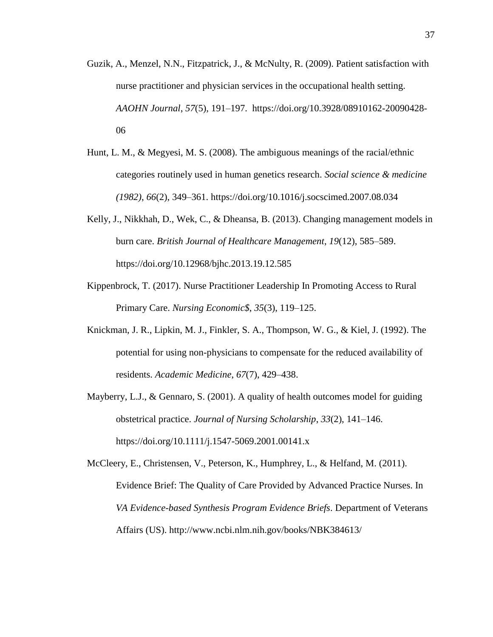- Guzik, A., Menzel, N.N., Fitzpatrick, J., & McNulty, R. (2009). Patient satisfaction with nurse practitioner and physician services in the occupational health setting. *AAOHN Journal*, *57*(5), 191–197. https://doi.org/10.3928/08910162-20090428- 06
- Hunt, L. M., & Megyesi, M. S. (2008). The ambiguous meanings of the racial/ethnic categories routinely used in human genetics research. *Social science & medicine (1982)*, *66*(2), 349–361. https://doi.org/10.1016/j.socscimed.2007.08.034
- Kelly, J., Nikkhah, D., Wek, C., & Dheansa, B. (2013). Changing management models in burn care. *British Journal of Healthcare Management*, *19*(12), 585–589. https://doi.org/10.12968/bjhc.2013.19.12.585
- Kippenbrock, T. (2017). Nurse Practitioner Leadership In Promoting Access to Rural Primary Care. *Nursing Economic\$*, *35*(3), 119–125.
- Knickman, J. R., Lipkin, M. J., Finkler, S. A., Thompson, W. G., & Kiel, J. (1992). The potential for using non-physicians to compensate for the reduced availability of residents. *Academic Medicine*, *67*(7), 429–438.
- Mayberry, L.J., & Gennaro, S. (2001). A quality of health outcomes model for guiding obstetrical practice. *Journal of Nursing Scholarship*, *33*(2), 141–146. https://doi.org/10.1111/j.1547-5069.2001.00141.x

McCleery, E., Christensen, V., Peterson, K., Humphrey, L., & Helfand, M. (2011). Evidence Brief: The Quality of Care Provided by Advanced Practice Nurses. In *VA Evidence-based Synthesis Program Evidence Briefs*. Department of Veterans Affairs (US). http://www.ncbi.nlm.nih.gov/books/NBK384613/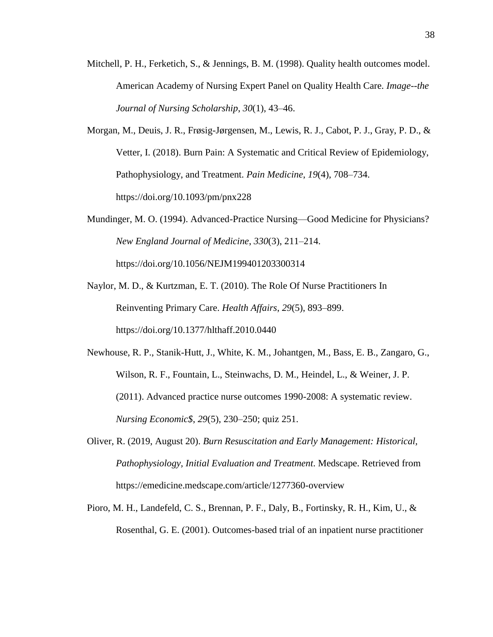- Mitchell, P. H., Ferketich, S., & Jennings, B. M. (1998). Quality health outcomes model. American Academy of Nursing Expert Panel on Quality Health Care. *Image--the Journal of Nursing Scholarship*, *30*(1), 43–46.
- Morgan, M., Deuis, J. R., Frøsig-Jørgensen, M., Lewis, R. J., Cabot, P. J., Gray, P. D., & Vetter, I. (2018). Burn Pain: A Systematic and Critical Review of Epidemiology, Pathophysiology, and Treatment. *Pain Medicine*, *19*(4), 708–734. https://doi.org/10.1093/pm/pnx228
- Mundinger, M. O. (1994). Advanced-Practice Nursing—Good Medicine for Physicians? *New England Journal of Medicine*, *330*(3), 211–214. https://doi.org/10.1056/NEJM199401203300314
- Naylor, M. D., & Kurtzman, E. T. (2010). The Role Of Nurse Practitioners In Reinventing Primary Care. *Health Affairs*, *29*(5), 893–899. https://doi.org/10.1377/hlthaff.2010.0440
- Newhouse, R. P., Stanik-Hutt, J., White, K. M., Johantgen, M., Bass, E. B., Zangaro, G., Wilson, R. F., Fountain, L., Steinwachs, D. M., Heindel, L., & Weiner, J. P. (2011). Advanced practice nurse outcomes 1990-2008: A systematic review. *Nursing Economic\$*, *29*(5), 230–250; quiz 251.
- Oliver, R. (2019, August 20). *Burn Resuscitation and Early Management: Historical, Pathophysiology, Initial Evaluation and Treatment*. Medscape. Retrieved from https://emedicine.medscape.com/article/1277360-overview
- Pioro, M. H., Landefeld, C. S., Brennan, P. F., Daly, B., Fortinsky, R. H., Kim, U., & Rosenthal, G. E. (2001). Outcomes-based trial of an inpatient nurse practitioner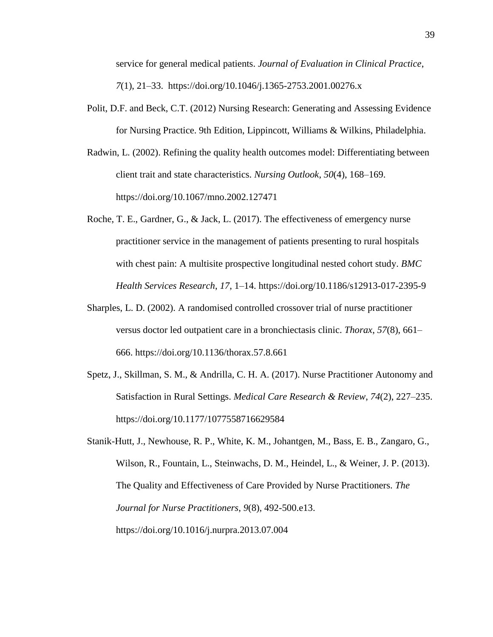service for general medical patients. *Journal of Evaluation in Clinical Practice*, *7*(1), 21–33. https://doi.org/10.1046/j.1365-2753.2001.00276.x

- Polit, D.F. and Beck, C.T. (2012) Nursing Research: Generating and Assessing Evidence for Nursing Practice. 9th Edition, Lippincott, Williams & Wilkins, Philadelphia.
- Radwin, L. (2002). Refining the quality health outcomes model: Differentiating between client trait and state characteristics. *Nursing Outlook*, *50*(4), 168–169. https://doi.org/10.1067/mno.2002.127471
- Roche, T. E., Gardner, G., & Jack, L. (2017). The effectiveness of emergency nurse practitioner service in the management of patients presenting to rural hospitals with chest pain: A multisite prospective longitudinal nested cohort study. *BMC Health Services Research*, *17*, 1–14. https://doi.org/10.1186/s12913-017-2395-9
- Sharples, L. D. (2002). A randomised controlled crossover trial of nurse practitioner versus doctor led outpatient care in a bronchiectasis clinic. *Thorax*, *57*(8), 661– 666. https://doi.org/10.1136/thorax.57.8.661
- Spetz, J., Skillman, S. M., & Andrilla, C. H. A. (2017). Nurse Practitioner Autonomy and Satisfaction in Rural Settings. *Medical Care Research & Review*, *74*(2), 227–235. https://doi.org/10.1177/1077558716629584
- Stanik-Hutt, J., Newhouse, R. P., White, K. M., Johantgen, M., Bass, E. B., Zangaro, G., Wilson, R., Fountain, L., Steinwachs, D. M., Heindel, L., & Weiner, J. P. (2013). The Quality and Effectiveness of Care Provided by Nurse Practitioners. *The Journal for Nurse Practitioners*, *9*(8), 492-500.e13. https://doi.org/10.1016/j.nurpra.2013.07.004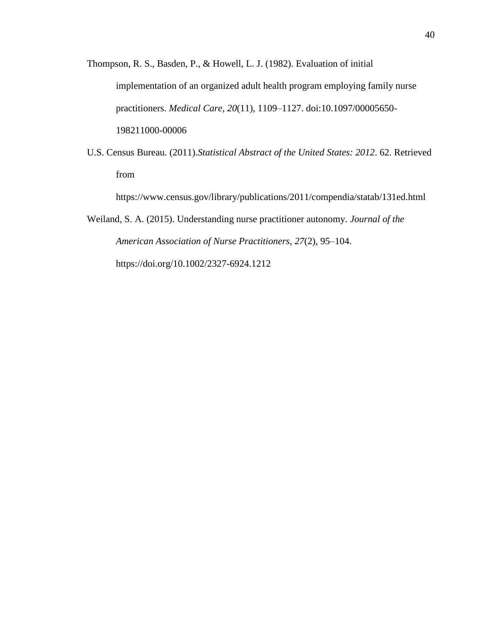Thompson, R. S., Basden, P., & Howell, L. J. (1982). Evaluation of initial implementation of an organized adult health program employing family nurse practitioners. *Medical Care*, *20*(11), 1109–1127. doi:10.1097/00005650- 198211000-00006

U.S. Census Bureau. (2011).*Statistical Abstract of the United States: 2012*. 62. Retrieved from

https://www.census.gov/library/publications/2011/compendia/statab/131ed.html

Weiland, S. A. (2015). Understanding nurse practitioner autonomy. *Journal of the American Association of Nurse Practitioners*, *27*(2), 95–104. https://doi.org/10.1002/2327-6924.1212